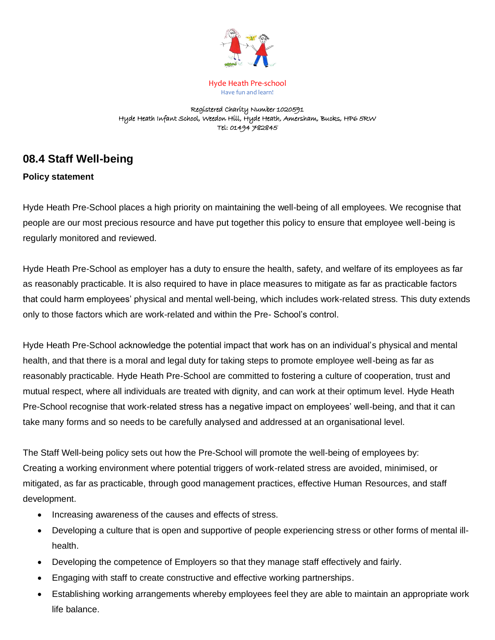

Hyde Heath Pre-school Have fun and learn!

Registered Charity Number 1020591 Hyde Heath Infant School, Weedon Hill, Hyde Heath, Amersham, Bucks, HP6 5RW Tel: 01494 782845

# **08.4 Staff Well-being**

## **Policy statement**

Hyde Heath Pre-School places a high priority on maintaining the well-being of all employees. We recognise that people are our most precious resource and have put together this policy to ensure that employee well-being is regularly monitored and reviewed.

Hyde Heath Pre-School as employer has a duty to ensure the health, safety, and welfare of its employees as far as reasonably practicable. It is also required to have in place measures to mitigate as far as practicable factors that could harm employees' physical and mental well-being, which includes work-related stress. This duty extends only to those factors which are work-related and within the Pre- School's control.

Hyde Heath Pre-School acknowledge the potential impact that work has on an individual's physical and mental health, and that there is a moral and legal duty for taking steps to promote employee well-being as far as reasonably practicable. Hyde Heath Pre-School are committed to fostering a culture of cooperation, trust and mutual respect, where all individuals are treated with dignity, and can work at their optimum level. Hyde Heath Pre-School recognise that work-related stress has a negative impact on employees' well-being, and that it can take many forms and so needs to be carefully analysed and addressed at an organisational level.

The Staff Well-being policy sets out how the Pre-School will promote the well-being of employees by: Creating a working environment where potential triggers of work-related stress are avoided, minimised, or mitigated, as far as practicable, through good management practices, effective Human Resources, and staff development.

- Increasing awareness of the causes and effects of stress.
- Developing a culture that is open and supportive of people experiencing stress or other forms of mental illhealth.
- Developing the competence of Employers so that they manage staff effectively and fairly.
- Engaging with staff to create constructive and effective working partnerships.
- Establishing working arrangements whereby employees feel they are able to maintain an appropriate work life balance.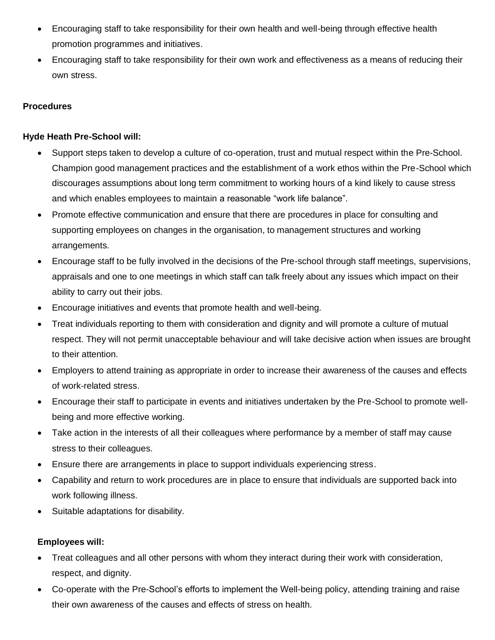- Encouraging staff to take responsibility for their own health and well-being through effective health promotion programmes and initiatives.
- Encouraging staff to take responsibility for their own work and effectiveness as a means of reducing their own stress.

#### **Procedures**

### **Hyde Heath Pre-School will:**

- Support steps taken to develop a culture of co-operation, trust and mutual respect within the Pre-School. Champion good management practices and the establishment of a work ethos within the Pre-School which discourages assumptions about long term commitment to working hours of a kind likely to cause stress and which enables employees to maintain a reasonable "work life balance".
- Promote effective communication and ensure that there are procedures in place for consulting and supporting employees on changes in the organisation, to management structures and working arrangements.
- Encourage staff to be fully involved in the decisions of the Pre-school through staff meetings, supervisions, appraisals and one to one meetings in which staff can talk freely about any issues which impact on their ability to carry out their jobs.
- Encourage initiatives and events that promote health and well-being.
- Treat individuals reporting to them with consideration and dignity and will promote a culture of mutual respect. They will not permit unacceptable behaviour and will take decisive action when issues are brought to their attention.
- Employers to attend training as appropriate in order to increase their awareness of the causes and effects of work-related stress.
- Encourage their staff to participate in events and initiatives undertaken by the Pre-School to promote wellbeing and more effective working.
- Take action in the interests of all their colleagues where performance by a member of staff may cause stress to their colleagues.
- Ensure there are arrangements in place to support individuals experiencing stress.
- Capability and return to work procedures are in place to ensure that individuals are supported back into work following illness.
- Suitable adaptations for disability.

## **Employees will:**

- Treat colleagues and all other persons with whom they interact during their work with consideration, respect, and dignity.
- Co-operate with the Pre-School's efforts to implement the Well-being policy, attending training and raise their own awareness of the causes and effects of stress on health.